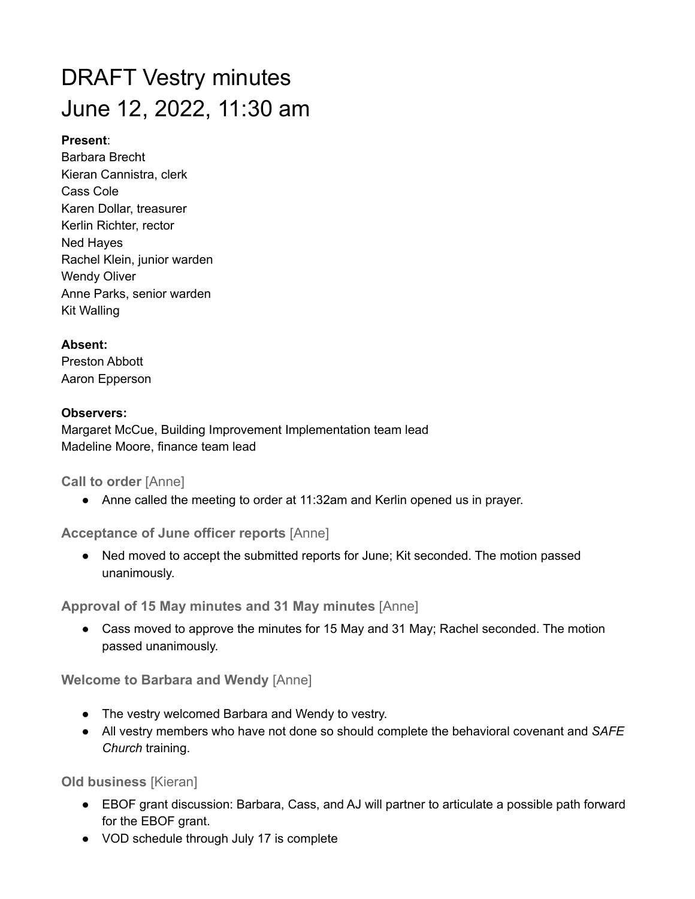# DRAFT Vestry minutes June 12, 2022, 11:30 am

## **Present**:

Barbara Brecht Kieran Cannistra, clerk Cass Cole Karen Dollar, treasurer Kerlin Richter, rector Ned Hayes Rachel Klein, junior warden Wendy Oliver Anne Parks, senior warden Kit Walling

# **Absent:**

Preston Abbott Aaron Epperson

## **Observers:**

Margaret McCue, Building Improvement Implementation team lead Madeline Moore, finance team lead

## **Call to order** [Anne]

● Anne called the meeting to order at 11:32am and Kerlin opened us in prayer.

# **Acceptance of June officer reports** [Anne]

● Ned moved to accept the submitted reports for June; Kit seconded. The motion passed unanimously.

**Approval of 15 May minutes and 31 May minutes** [Anne]

• Cass moved to approve the minutes for 15 May and 31 May; Rachel seconded. The motion passed unanimously.

**Welcome to Barbara and Wendy** [Anne]

- The vestry welcomed Barbara and Wendy to vestry.
- All vestry members who have not done so should complete the behavioral covenant and *SAFE Church* training.

**Old business** [Kieran]

- EBOF grant discussion: Barbara, Cass, and AJ will partner to articulate a possible path forward for the EBOF grant.
- VOD schedule through July 17 is complete